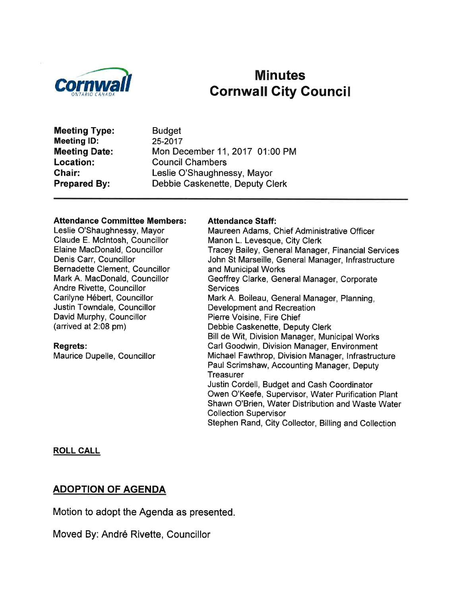

# Minutes<br>Cornwall City Council Cornwall Gity Council

Meeting Type: Meeting lD: Meeting Date: Location: Chair: Prepared By:

**Budget** 25-2017 Mon December 11,2017 01:00 PM Council Chambers Leslie O'Shaughnessy, Mayor Debbie Caskenette, Deputy Clerk

#### Attendance Committee Members:

Leslie O'Shaughnessy, Mayor Claude E. Mclntosh, Councillor Elaine MacDonald, Councillor Denis Carr, Councillor Bernadette Clement, Councillor Mark A. MacDonald, Councillor Andre Rivette, Councillor Carilyne Hébert, Councillor Justin Towndale, Councillor David Murphy, Councillor (arrived at 2:08 pm)

#### Regrets:

Maurice Dupelle, Councillor

#### Attendance Staff:

Maureen Adams, Chief Administrative Officer Manon L. Levesque, City Clerk Tracey Bailey, General Manager, Financial Services John St Marseille, General Manager, lnfrastructure and Municipal Works Geoffrey Clarke, General Manager, Corporate Services Mark A. Boileau, General Manager, Planning, Development and Recreation Pierre Voisine, Fire Chief Debbie Caskenette, Deputy Clerk Bill de Wit, Division Manager, Municipal Works Carl Goodwin, Division Manager, Environment Michael Fawthrop, Division Manager, lnfrastructure Paul Scrimshaw, Accounting Manager, Deputy **Treasurer** Justin Cordell, Budget and Cash Coordinator Owen O'Keefe, Supervisor, Water Purification Plant Shawn O'Brien, Water Distribution and Waste Water Collection Supervisor Stephen Rand, City Collector, Billing and Collection

#### ROLL CALL

## ADOPTION OF AGENDA

Motion to adopt the Agenda as presented.

Moved By: André Rivette, Councillor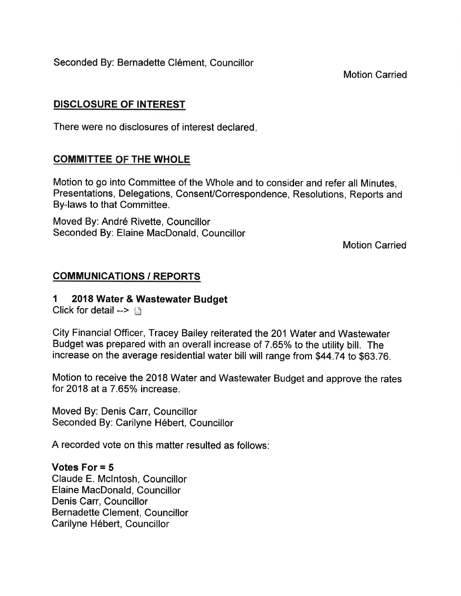Seconded By: Bernadette Clément, Councillor

Motion Carried

# DISCLOSURE OF INTEREST

There were no disclosures of interest declared

# **COMMITTEE OF THE WHOLE**

Motion to go into Committee of the Whole and to consider and refer all Minutes, Presentations, Delegations, Consent/Correspondence, Resolutions, Reports and By-laws to that Committee.

Moved By: André Rivette, Councillor Seconded By: Elaine MacDonald, Councillor

Motion Carried

# COMMUNICATIONS / REPORTS

# 1 2018 Water & Wastewater Budget

Click for detail -->  $\Box$ 

City Financial Officer, Tracey Bailey reiterated the 201 Water and Wastewater Budget was prepared with an overall increase of 7.65% to the utility bill. The increase on the average residential water bill will range from \$44 .74 to \$63.76.

Motion to receive the 2018 Water and Wastewater Budget and approve the rates for 2018 at a  $7.65\%$  increase.

Moved By: Denis Carr, Councillor Seconded By: Carilyne Hébert, Councillor

A recorded vote on this matter resulted as follows:

## Votes For = 5

Claude E. Mclntosh, Councillor Elaine MacDonald, Councillor Denis Carr, Councillor Bernadette Clement, Councillor Carilyne Hébert, Councillor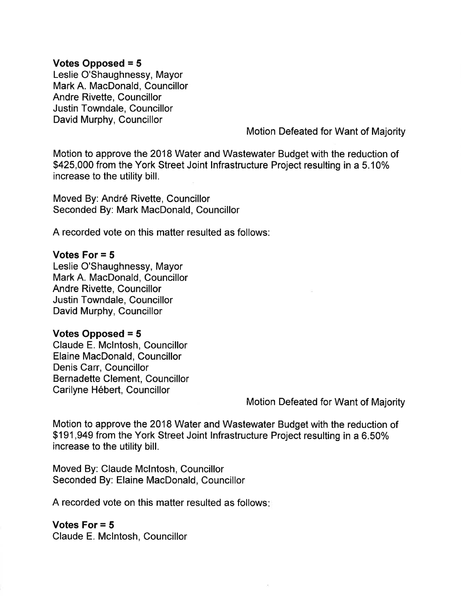## Votes Opposed = 5

Leslie O'Shaughnessy, Mayor Mark A. MacDonald, Councillor Andre Rivette, Councillor Justin Towndale, Councillor David Murphy, Councillor

Motion Defeated for Want of Majority

Motion to approve the 2018 Water and Wastewater Budget with the reduction of \$425,000 from the York Street Joint Infrastructure Project resulting in a 5.10% increase to the utility bill.

Moved By: André Rivette, Councillor Seconded By: Mark MacDonald, Councillor

A recorded vote on this matter resulted as follows:

### Votes For  $= 5$

Leslie O'Shaughnessy, Mayor Mark A. MacDonald, Councillor Andre Rivette, Councillor Justin Towndale, Councillor David Murphy, Councillor

#### Votes Opposed = 5

Claude E. Mclntosh, Councillor Elaine MacDonald, Councillor Denis Carr, Councillor Bernadette Clement, Councillor Carilyne Hébert, Councillor

Motion Defeated for Want of Majority

Motion to approve the 2018 Water and Wastewater Budget with the reduction of \$191,949 from the York Street Joint lnfrastructure Project resulting in a 6.50% increase to the utility bill.

Moved By: Claude Mclntosh, Councillor Seconded By: Elaine MacDonald, Councillor

A recorded vote on this matter resulted as follows:

Votes For  $= 5$ Claude E. Mclntosh, Councillor